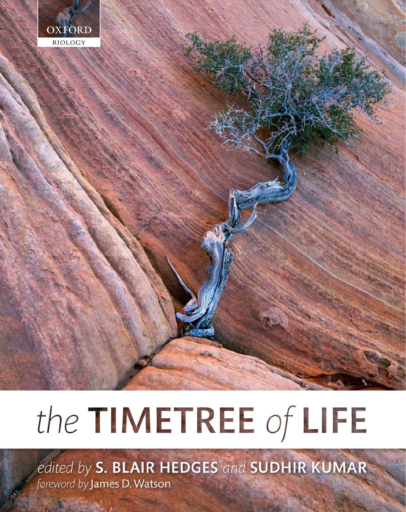

# the TIMETREE of LIFE

edited by S. BLAIR HEDGES and SUDHIR KUMAR foreword by James D. Watson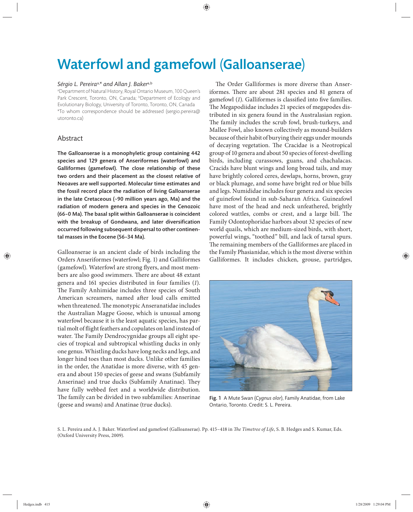# Waterfowl and gamefowl (Galloanserae)

### *Sérgio L. Pereira*a,*\* and Allan J. Baker*a,b

a Department of Natural History, Royal Ontario Museum, 100 Queen's Park Crescent, Toronto, ON, Canada; bDepartment of Ecology and Evolutionary Biology, University of Toronto, Toronto, ON, Canada \*To whom correspondence should be addressed (sergio.pereira@ utoronto.ca)

# Abstract

The Galloanserae is a monophyletic group containing 442 species and 129 genera of Anseriformes (waterfowl) and Galliformes (gamefowl). The close relationship of these two orders and their placement as the closest relative of Neoaves are well supported. Molecular time estimates and the fossil record place the radiation of living Galloanserae in the late Cretaceous (~90 million years ago, Ma) and the radiation of modern genera and species in the Cenozoic (66–0 Ma). The basal split within Galloanserae is coincident with the breakup of Gondwana, and later diversification occurred following subsequent dispersal to other continental masses in the Eocene (56–34 Ma).

Galloanserae is an ancient clade of birds including the Orders Anseriformes (waterfowl; Fig. 1) and Galliformes (gamefowl). Waterfowl are strong flyers, and most members are also good swimmers. There are about 48 extant genera and 161 species distributed in four families (1). The Family Anhimidae includes three species of South American screamers, named after loud calls emitted when threatened. The monotypic Anseranatidae includes the Australian Magpe Goose, which is unusual among waterfowl because it is the least aquatic species, has partial molt of flight feathers and copulates on land instead of water. The Family Dendrocygnidae groups all eight species of tropical and subtropical whistling ducks in only one genus. Whistling ducks have long necks and legs, and longer hind toes than most ducks. Unlike other families in the order, the Anatidae is more diverse, with 45 genera and about 150 species of geese and swans (Subfamily Anserinae) and true ducks (Subfamily Anatinae). They have fully webbed feet and a worldwide distribution. The family can be divided in two subfamilies: Anserinae (geese and swans) and Anatinae (true ducks).

The Order Galliformes is more diverse than Anseriformes. There are about 281 species and 81 genera of gamefowl (1). Galliformes is classified into five families. The Megapodiidae includes 21 species of megapodes distributed in six genera found in the Australasian region. The family includes the scrub fowl, brush-turkeys, and Mallee Fowl, also known collectively as mound-builders because of their habit of burying their eggs under mounds of decaying vegetation. The Cracidae is a Neotropical group of 10 genera and about 50 species of forest- dwelling birds, including curassows, guans, and chachalacas. Cracids have blunt wings and long broad tails, and may have brightly colored ceres, dewlaps, horns, brown, gray or black plumage, and some have bright red or blue bills and legs. Numididae includes four genera and six species of guinefowl found in sub-Saharan Africa. Guineafowl have most of the head and neck unfeathered, brightly colored wattles, combs or crest, and a large bill. The Family Odontophoridae harbors about 32 species of new world quails, which are medium-sized birds, with short, powerful wings, "toothed" bill, and lack of tarsal spurs. The remaining members of the Galliformes are placed in the Family Phasianidae, which is the most diverse within Galliformes. It includes chicken, grouse, partridges,



Fig. 1 A Mute Swan (*Cygnus olor*), Family Anatidae, from Lake Ontario, Toronto. Credit: S. L. Pereira.

S. L. Pereira and A. J. Baker. Waterfowl and gamefowl (Galloanserae). Pp. 415-418 in *The Timetree of Life*, S. B. Hedges and S. Kumar, Eds. (Oxford University Press, 2009).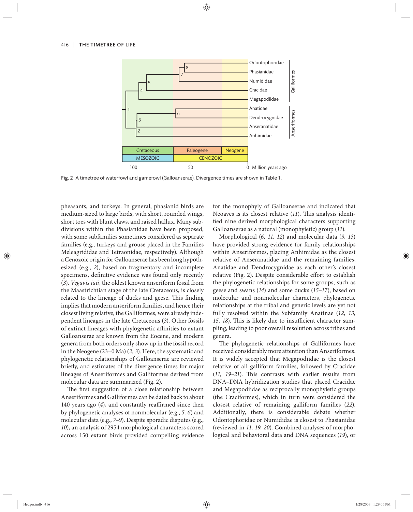

Fig. 2 A timetree of waterfowl and gamefowl (Galloanserae). Divergence times are shown in Table 1.

pheasants, and turkeys. In general, phasianid birds are medium-sized to large birds, with short, rounded wings, short toes with blunt claws, and raised hallux. Many subdivisions within the Phasianidae have been proposed, with some subfamilies sometimes considered as separate families (e.g., turkeys and grouse placed in the Families Meleagrididae and Tetraonidae, respectively). Although a Cenozoic origin for Galloanserae has been long hypothesized (e.g., *2*), based on fragmentary and incomplete specimens, definitive evidence was found only recently (*3*). *Vegavis iaii*, the oldest known anseriform fossil from the Maastrichtian stage of the late Cretaceous, is closely related to the lineage of ducks and geese. This finding implies that modern anseriform families, and hence their closest living relative, the Galliformes, were already independent lineages in the late Cretaceous (*3*). Other fossils of extinct lineages with phylogenetic affinities to extant Galloanserae are known from the Eocene, and modern genera from both orders only show up in the fossil record in the Neogene (23–0 Ma) (*2, 3*). Here, the systematic and phylogenetic relationships of Galloanserae are reviewed briefly, and estimates of the divergence times for major lineages of Anseriformes and Galliformes derived from molecular data are summarized (Fig. 2).

The first suggestion of a close relationship between Anseriformes and Galliformes can be dated back to about 140 years ago (4), and constantly reaffirmed since then by phylogenetic analyses of nonmolecular (e.g., *5, 6*) and molecular data (e.g., *7–9*). Despite sporadic disputes (e.g., *10*), an analysis of 2954 morphological characters scored across 150 extant birds provided compelling evidence for the monophyly of Galloanserae and indicated that Neoaves is its closest relative (11). This analysis identified nine derived morphological characters supporting Galloanserae as a natural (monophyletic) group (*11*).

Morphological (*6, 11, 12*) and molecular data (*9, 13*) have provided strong evidence for family relationships within Anseriformes, placing Anhimidae as the closest relative of Anseranatidae and the remaining families, Anatidae and Dendrocygnidae as each other's closest relative (Fig. 2). Despite considerable effort to establish the phylogenetic relationships for some groups, such as geese and swans (*14*) and some ducks (*15–17*), based on molecular and nonmolecular characters, phylogenetic relationships at the tribal and generic levels are yet not fully resolved within the Subfamily Anatinae (*12, 13, 15, 18*). This is likely due to insufficient character sampling, leading to poor overall resolution across tribes and genera.

The phylogenetic relationships of Galliformes have received considerably more attention than Anseriformes. It is widely accepted that Megapodiidae is the closest relative of all galliform families, followed by Cracidae (11, 19-21). This contrasts with earlier results from DNA–DNA hybridization studies that placed Cracidae and Megapodiidae as reciprocally monophyletic groups (the Craciformes), which in turn were considered the closest relative of remaining galliform families (*22*). Additionally, there is considerable debate whether Odontophoridae or Numididae is closest to Phasianidae (reviewed in *11, 19, 20*). Combined analyses of morphological and behavioral data and DNA sequences (*19*), or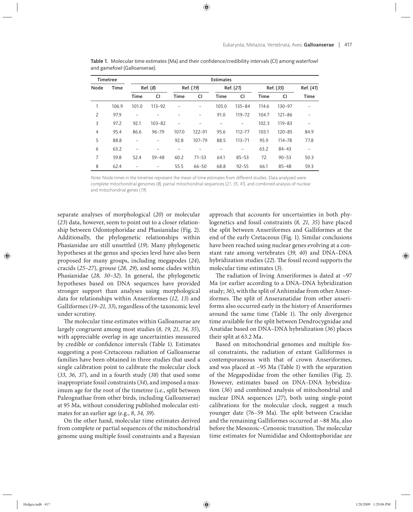| <b>Timetree</b> |             | <b>Estimates</b>         |                          |                          |           |             |            |           |            |                |
|-----------------|-------------|--------------------------|--------------------------|--------------------------|-----------|-------------|------------|-----------|------------|----------------|
| Node            | <b>Time</b> | Ref. (8)                 |                          | Ref. (19)                |           | Ref. (21)   |            | Ref. (35) |            | Ref. (41)      |
|                 |             | <b>Time</b>              | CI                       | Time                     | CI        | <b>Time</b> | CI         | Time      | <b>CI</b>  | <b>Time</b>    |
|                 | 106.9       | 101.0                    | $113 - 92$               |                          |           | 105.0       | $135 - 84$ | 114.6     | $130 - 97$ |                |
| 2               | 97.9        | $\overline{a}$           |                          |                          | -         | 91.0        | 119-72     | 104.7     | $121 - 86$ |                |
| 3               | 97.2        | 92.1                     | $103 - 82$               | $\overline{\phantom{0}}$ |           |             | -          | 102.3     | $119 - 83$ |                |
| $\overline{4}$  | 95.4        | 86.6                     | $96 - 79$                | 107.0                    | 122-91    | 95.6        | $112 - 77$ | 103.1     | $120 - 85$ | 84.9           |
| 5               | 88.8        | -                        | $\overline{\phantom{0}}$ | 92.8                     | 107-79    | 88.5        | $113 - 71$ | 95.9      | 114-78     | 77.8           |
| 6               | 63.2        | -                        |                          |                          |           |             |            | 63.2      | $84 - 43$  | $\overline{a}$ |
| $\overline{7}$  | 59.8        | 52.4                     | $59 - 48$                | 60.2                     | $71 - 53$ | 64.1        | $85 - 53$  | 72        | $90 - 53$  | 50.3           |
| 8               | 62.4        | $\overline{\phantom{0}}$ | $\overline{\phantom{0}}$ | 55.5                     | $66 - 50$ | 68.8        | $92 - 55$  | 66.1      | $85 - 48$  | 59.3           |

Table 1. Molecular time estimates (Ma) and their confidence/credibility intervals (CI) among waterfowl and gamefowl (Galloanserae).

Note: Node times in the timetree represent the mean of time estimates from different studies. Data analyzed were complete mitochondrial genomes (8), partial mitochondrial sequences (21, 35, 41), and combined analysis of nuclear and mitochondrial genes (19).

separate analyses of morphological (*20*) or molecular (*23*) data, however, seem to point out to a closer relationship between Odontophoridae and Phasianidae (Fig. 2). Additionally, the phylogenetic relationships within Phasianidae are still unsettled (*19*). Many phylogenetic hypotheses at the genus and species level have also been proposed for many groups, including megapodes (24), cracids (*25–27*), grouse (*28, 29*), and some clades within Phasianidae (*28, 30–32*). In general, the phylogenetic hypotheses based on DNA sequences have provided stronger support than analyses using morphological data for relationships within Anseriformes (*12, 13*) and Galliformes (*19–21, 33*), regardless of the taxonomic level under scrutiny.

The molecular time estimates within Galloanserae are largely congruent among most studies (*8, 19, 21, 34, 35*), with appreciable overlap in age uncertainties measured by credible or confidence intervals (Table 1). Estimates suggesting a post-Cretaceous radiation of Galloanserae families have been obtained in three studies that used a single calibration point to calibrate the molecular clock (*33*, *36, 37*), and in a fourth study (*38*) that used some inappropriate fossil constraints (*34*), and imposed a maximum age for the root of the timetree (i.e., split between Paleognathae from other birds, including Galloanserae) at 95 Ma, without considering published molecular estimates for an earlier age (e.g., *8*, *34, 39*).

On the other hand, molecular time estimates derived from complete or partial sequences of the mitochondrial genome using multiple fossil constraints and a Bayesian approach that accounts for uncertainties in both phylogenetics and fossil constraints (*8, 21, 35*) have placed the split between Anseriformes and Galliformes at the end of the early Cretaceous (Fig. 1). Similar conclusions have been reached using nuclear genes evolving at a constant rate among vertebrates (*39, 40*) and DNA–DNA hybridization studies (22). The fossil record supports the molecular time estimates (*3*).

The radiation of living Anseriformes is dated at  $~297$ Ma (or earlier according to a DNA–DNA hybridization study; *36*), with the split of Anhimidae from other Anseriformes. The split of Anseranatidae from other anseriforms also occurred early in the history of Anseriformes around the same time (Table 1). The only divergence time available for the split between Dendrocygnidae and Anatidae based on DNA–DNA hybridization (*36*) places their split at 63.2 Ma.

Based on mitochondrial genomes and multiple fossil constraints, the radiation of extant Galliformes is contemporaneous with that of crown Anseriformes, and was placed at ~95 Ma (Table 1) with the separation of the Megapodiidae from the other families (Fig. 2). However, estimates based on DNA–DNA hybridization (*36*) and combined analysis of mitochondrial and nuclear DNA sequences (27), both using single-point calibrations for the molecular clock, suggest a much younger date (76-59 Ma). The split between Cracidae and the remaining Galliformes occurred at ~88 Ma, also before the Mesozoic-Cenozoic transition. The molecular time estimates for Numididae and Odontophoridae are